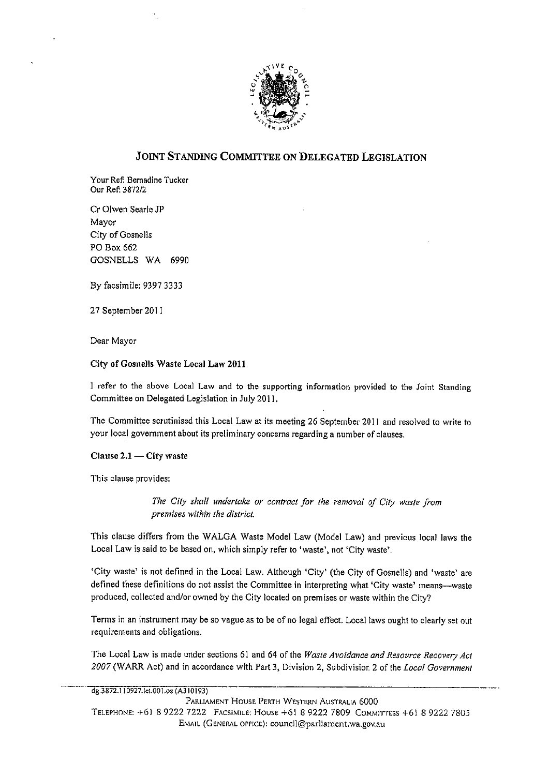

# JOINT STANDING COMMITTEE ON DELEGATED LEGISLATION

Your Ref: Bernadine Tucker Our Ref: 3872/2

Cr Olwen Searle JP Mavor City of Gosnells PO Box 662 GOSNELLS WA 6990

By facsimile: 9397 3333

27 September 2011

Dear Mayor

## City of Gosnells Waste Local Law 2011

I refer to the above Local Law and to the supporting information provided to the Joint Standing Committee on Delegated Legislation in July 2011.

The Committee scrutinised this Local Law at its meeting 26 September 2011 and resolved to write to your local government about its preliminary concerns regarding a number of clauses.

Clause 2.1 - City waste

This clause provides:

The City shall undertake or contract for the removal of City waste from premises within the district.

This clause differs from the WALGA Waste Model Law (Model Law) and previous local laws the Local Law is said to be based on, which simply refer to 'waste', not 'City waste'.

'City waste' is not defined in the Local Law. Although 'City' (the City of Gosnells) and 'waste' are defined these definitions do not assist the Committee in interpreting what 'City waste' means--waste produced, collected and/or owned by the City located on premises or waste within the City?

Terms in an instrument may be so vague as to be of no legal effect. Local laws ought to clearly set out requirements and obligations.

The Local Law is made under sections 61 and 64 of the Waste Avoidance and Resource Recovery Act 2007 (WARR Act) and in accordance with Part 3, Division 2, Subdivision 2 of the Local Government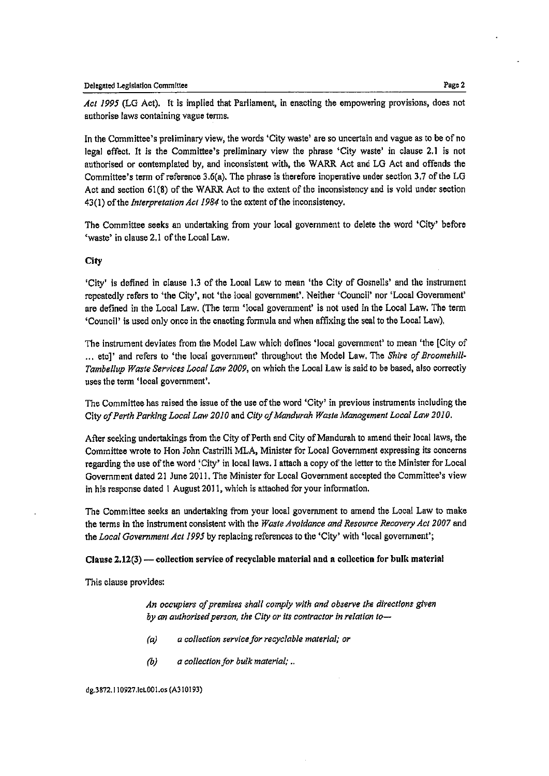Act 1995 (LG Act), It is implied that Parliament, in enacting the empowering provisions, does not authorise laws containing vague terms.

In the Committee's preliminary view, the words 'City waste' are so uncertain and vague as to be ofno legal effect. It is the Committee's preliminary view the phrase 'City waste' in clause 2.1 is not authorised or contemplated by, and inconsistent with, the WARR Act and LG Act and offends the Committee's term of reference 3.6(a). The phrase is therefore moperative under section 3.7 of the LG Act and section 61(8) of the WARR Act to the extent of the inconsistency and is void under section  $43(1)$  of the *Interpretation Act 1984* to the extent of the inconsistency.

The Committee seeks an undertaking from your local government to delete the word 'City' before 'waste' in clause 2.1 of the Local Law.

## City

'City' is defined in clause 1.3 of the Local Law to mean 'the City of Gosnells' and the instrument repeatedly refers to 'the City', not 'the local government'. Neither 'Council' nor 'Local Government' are defined in the Local Law. (The tomi'local government' is not used in the Local Law. The term 'Council'is used only once in the enacting fomula and when affixing the sealto the Local Law).

The instrument deviates from the Model Law which defines 'local government' to mean 'the [City of ... etcl' and refers to 'the local government' throughout the Model Law. The Shire of Broomehill-Tambellup Waste Services Local Law 2009, on which the Local Law is said to be based, also correctly uses the term 'local government'.

The Committee has raised the issue of the use of the word 'City' in previous instruments including the City of Perth Parking Local Law 2010 and City of Mandurah Waste Management Local Law 2010.

After seeking undertakings from the City of Perth and City of Mandurah to amend their local laws, the Committee wrote to Hon John CastrilliMLA, Minister for Local Government expressing its concerns regarding the use of the word 'City' in local laws. I attach a copy of the letter to the Minister for Local Government dated 21 June 2011. The Minister for Local Government accepted the Committee's view in his response dated 1 August 2011, which is attached for your information.

The Committee seeks an undertaking from your local govemment to amend the Local Law to make the terms in the instrument consistent with the Waste Avoidance and Resource Recovery Act 2007 and the Local Government Act 1995 by replacing references to the 'City' with 'local government';

## Clause  $2.12(3)$  — collection service of recyclable material and a collection for bulk material

This clause provides:

An occupiers of premises shall comply with and observe the directions given by an authorised person, the City or its contractor in relation to--

- $(a)$  a collection service for recyclable material; or
- $(b)$  a collection for bulk material; ...

dg. 3872. 110927. let 001. os (A310193)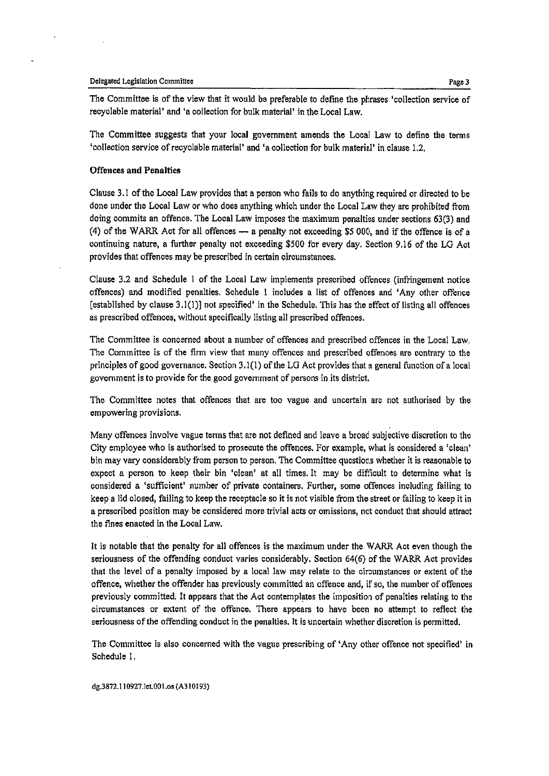#### Delegated Legislation Committee

The Committee is of the view that it would be preferable to define the phrases 'collection service of recyclable material' and 'a collection for bulk material' in the Local Law.

Page3

The Committee suggests that your local government amends the Local Law to define the terms 'collection service of recyclable material' and 'a collection for bulk material' in clause 1.2.

## Offences and Penalties

Clause 3.1 of the Local Law provides that a person who fails to do anything required or directed to be done under the Local Law or who does anything which under the Local Law they are prohibited from doing commits an offence. The LOGal Law imposes the maximum penalties under sections 63(3) and (4) of the WARR Act for all offences  $-$  a penalty not exceeding \$5 000, and if the offence is of a continuing nature, a further penalty not exceeding \$500 for every day. Section 9.16 of the LG Act provides that offences may be prescribed in certain circumstances,

Clause 3.2 and Sohedule I of the Local Law implements prescribed offences (infringement notice offences) and modified penalties. Schedule I includes a list of offences and 'Any other offence [established by clause  $3.1(1)$ ] not specified' in the Schedule. This has the effect of listing all offences as prescribed offences, without specifically listing all prescribed offences.

The Committee is concerned about a number of offences and prescribed offences in the Local Law, The Committee is of the firm view that many offences and prescribed offences are contrary to the principles of good governance. Section 3.1(I) of the LG Act provides that a general function of a local government is to provide forthe good government of persons in its district.

The Committee notes that offences that are too vague and uncertain are not authorised by the empowering provisions.

Many offences involve vague terms that are not defined and leave a broad subjective discretion to the City employee who is authorised to prosecute the offences. For example, what is considered a 'Glean' bin may vary considerably from person to person. The Committee questions whether it is reasonable to expect a person to keep their bin 'clean' at all times. It may be difficult to determine what is considered a 'Suffioient' number of private containers. Further, some offences ingluding failing to keep a lid glossd, foiling to keep the reoeptaole so it is not visible from the street or foiling to keep it in a prescribed position may be considered more trivial acts or omissions, not conduct that should attract the fines enacted in the Local Law.

It is notable that the penalty for all offences is the maximum under the WARR Act even though the seriousness of the offending conduct varies considerably, Section  $64(6)$  of the WARR Act provides that the level of a penalty imposed by a local law may relate to the circumstances or extent of the offence, whether the offender has previously committed an offence and, if so, the number of offences previously committed. It appears that the Aot contemplates the imposition of penalties relating to the eiroumstances or extent of the offence. There appears to have been ino attempt to reflect the seriousness of the offending conduct in the penalties. It is uncertain whether discretion is permitted.

The Committee is also concerned with the vague prescribing of 'Any other offence not specified' in Schedule I.

dg. 3872.110927. let. 001. os (A310193)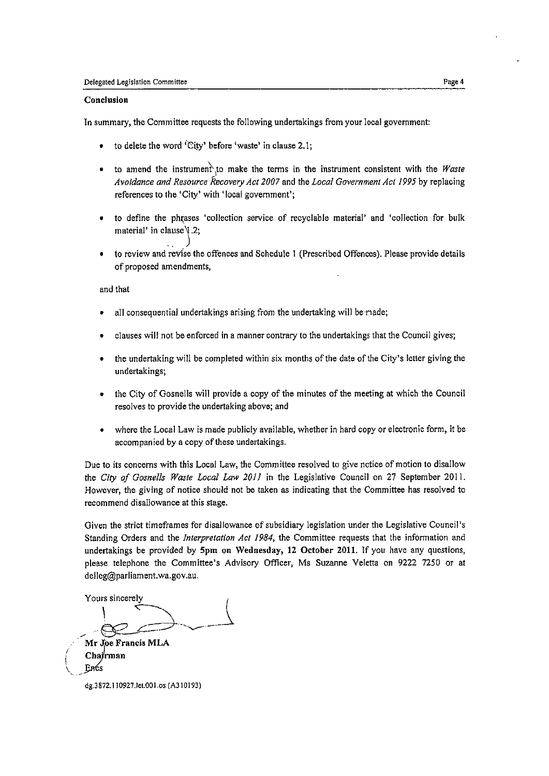## Conclusion

In summary, the Committee requests the following undertakings from your local government:

- . to delete the word 'City' before 'waste'in clause 2.1;
- $\bullet$  to amend the instrument, to make the terms in the instrument consistent with the Waste Avoidance and Resource Recovery Act 2007 and the Local Government Act 1995 by replacing references to the 'City' with 'local government';
- to define the phrases 'collection service of recyclable material' and 'collection for bulk material' in clause  $\sqrt{2}$ ;
- . to review and revise the offences and Schedule I (Prescribed Offences). Please provide details of proposed amendments,

and that

- . all consequential undertakings arising from the undertaking will be made;
- . clauses will not be enforced in a manner contrary to the undertakings tliatthe Council gives;
- . the undertaking will be completed within six months of the date of the City's letter giving the undertakings;
- . the City of Cosnells will provide a copy of the minutes of the meeting at which the Council resolves to provide the undertaking above; and
- . where the Local Law is made publicly available, whether in hard copy or electronic form, it be accompanied by a copy of these undertakings.

Due to its concerns with this Local Law, the Committee resolved to give notice of motion to disallow the City of Gosnells Waste Local Law 2011 in the Legislative Council on 27 September 2011. However, the giving of notice should not be taken as indicating that the Committee has resolved to recommend disallowance at this stage.

Given the strict timeframes for disallowance of subsidiary legislation under the Legislative Council's Standing Orders and the *Interpretation Act 1984*, the Committee requests that the information and undertakings be provided by 5pm on Wednesday, 12 October 2011, If you have any questions, please telephone the Committee's Advisory Officer, Ms Suzanne Veletta on 9222 7250 or at delleg@parliament.wa.gov.au.

Yours sincerely  $\frac{1}{\sqrt{2}}$ Mr Joe Francis MLA

Chajrman<br>Encs

dg. 3872.110927. let. 001. os (A310193)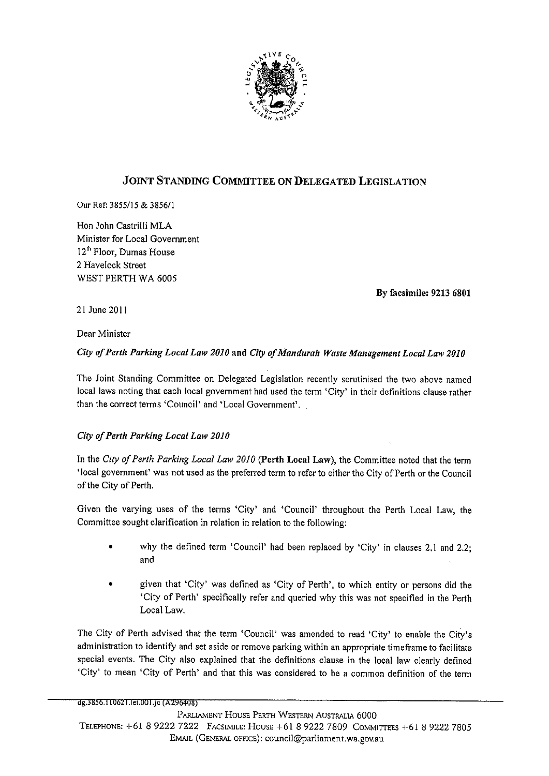

# JOINT STANDING COMMITTEE ON DELEGATED LEGISLATION

Our Ref: 3855/15 & 3856/1

Hon John Castrilli MLA Minister for Local Government 12<sup>th</sup> Floor, Dumas House 2 Havelock Street WEST PERTH WA 6005

By facsimile: 9213 6801

21 June 2011

Dear Minister

## City of Perth Parking Local Law 2010 and City of Mandurah Waste Management Local Law 2010

The Joint Standing Committee on Delegated Legislation recently scrutinised the two above named local laws noting that each local government had used the term 'City' in their definitions clause rather than the correct terms 'Council' and 'Local Government'.

# City of Perth Parking Local Law 2010

In the City of Perth Parking Local Law 2010 (Perth Local Law), the Committee noted that the term 'local government' was notused as the preferred term to refer to either the City of Perth or the Council of the City of Perth.

Given the varying uses of the terms 'City' and 'Council' throughout the Perth Local Law, the Committee sought clarification in relation in relation to the following:

- why the defined term 'Council' had been replaced by 'City' in clauses 2.1 and 2.2; and
- given that 'City' was defined as 'City of Perth', to which entity or persons did the 'City of Perth' specifically refer and queried why this was not specified in the Perth Local Law.

The City of Perth advised that the term 'Council' was amended to read 'City' to enable the City's administration to identify and set aside or remove parking within an appropriate timeframe to facilitate special events. The City also explained that the definitions clause in the local law clearly defined 'City' to mean 'City of Perth' and that this was considered to be a common definition of the term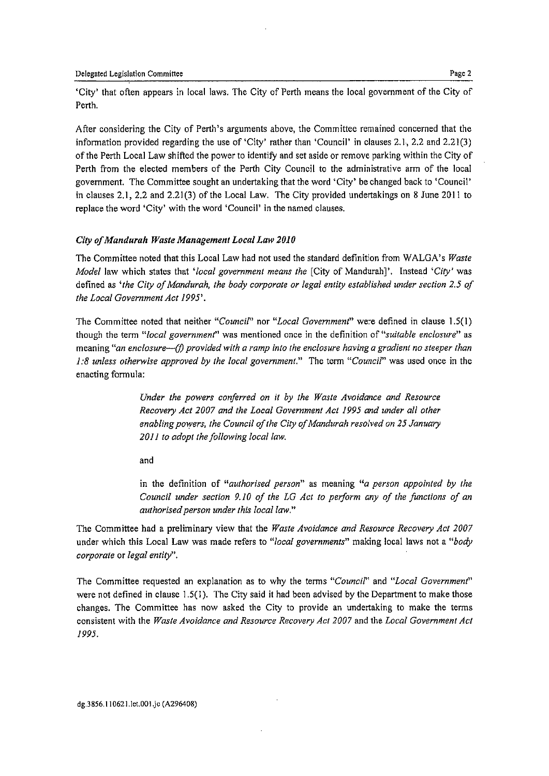'City' that often appears in local laws. The City of Perth means the local government of the City of Perth,

After considering the City of Perth's arguments above, the Committee remained concerned that the information provided regarding the use of 'City' rather than 'Council' in clauses 2.1, 2.2 and 2.21(3) of the Perth Local Law shifted the power to identify and set aside or remove parking within the City of Perth from the elected members of the Perth City Council to the administrative arm of the local government. The Committee sought an undertaking that the word 'City' be changed back to 'Council' in clauses 2.1, 2.2 and 2.21(3) of the Local Law. The City provided undertakings on 8 June 2011 to replace the word 'City' with the word 'Council' in the named clauses.

## City of Mandurah Waste Management Local Law 2010

The Committee noted that this Local Law had not used the standard definition from WALGA's Waste Model law which states that 'local government means the [City of Mandurah]'. Instead 'City' was defined as 'the City of Mandurah, the body corporate or legal entity established under section 2.5 of the Local Government Act 1995'.

The Committee noted that neither "Council" nor "Local Government" were defined in clause 1.5(1) though the term "local government" was mentioned once in the definition of "suitable enclosure" as meaning "an enclosure— $(f)$  provided with a ramp into the enclosure having a gradient no steeper than 1:8 unless otherwise approved by the local government." The term "Council" was used once in the enacting formula:

> Under the powers conferred on it by the Waste Avoidance and Resource Recovery Act 2007 and the Local Government Act 1995 and under all other enabling powers, the Council of the City of Mandurah resolved on 25 January 2011 to adopt the following local law.

and

in the definition of "authorised person" as meaning "a person appointed by the Council under section 9.10 of the LG Act to perform any of the functions of an authorised person under this local law."

The Committee had a preliminary view that the Waste Avoidance and Resource Recovery Act 2007 under which this Local Law was made refers to "local governments" making local laws not a "body corporate or legal entity".

The Committee requested an explanation as to why the terms "Council" and "Local Government" were not defined in clause  $1.5(1)$ . The City said it had been advised by the Department to make those changes. The Committee has now asked the City to provide an undertaking to make the terms consistent with the Waste Avoidance and Resource Recovery Act 2007 and the Local Government Act 1995.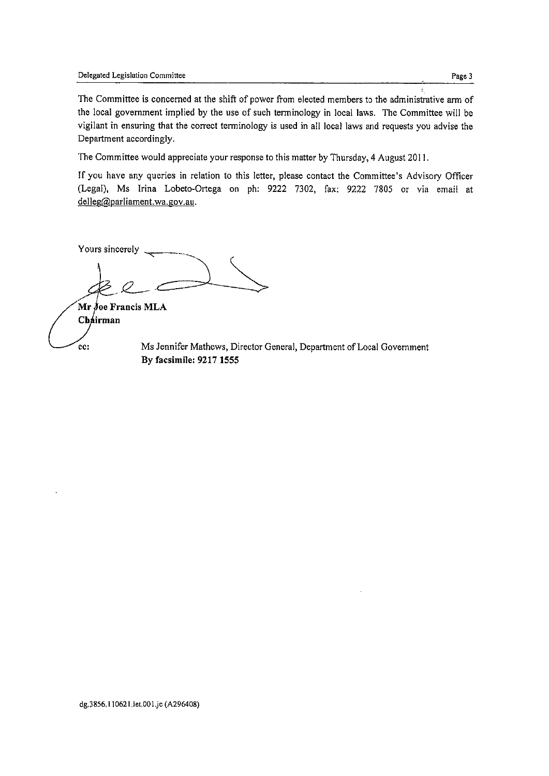The Committee is concerned at the shift of power from elected members to the administrative arm of the local government implied by the use of such terminology in local laws. The Committee will be vigilant in ensuring that the correct terminology is used in all local laws and requests you advise the Department accordingly.

The Committee would appreciate your response to this matter by Thursday, 4 August 2011.

If you have any queries in relation to this letter, please contact the Committee's Advisory Officer (Legal), Ms Irina Lobeto-Ortega on ph: 9222 7302, fax: 9222 7805 or via email at delleg@parliament.wa.gov.au.

Yours sincerely  $\overline{\phantom{a}}$ ,  $\chi$ 

 $Mr$  *j*oe Francis MLA Chairman

cc: Ms Jennifer Mathews, Director General, Department of Local Government By facsimile: 9217 1555